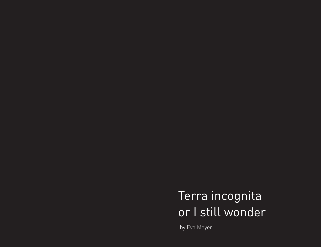Terra incognita or I still wonder

by Eva Mayer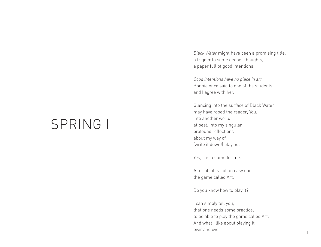# SPRING I

*Black Water* might have been a promising title, a trigger to some deeper thoughts, a paper full of good intentions.

*Good intentions have no place in art*  Bonnie once said to one of the students, and I agree with her.

Glancing into the surface of Black Water may have roped the reader, You, into another world at best, into my singular profound reflections about my way of (write it down!) playing.

Yes, it is a game for me.

After all, it is not an easy one the game called Art.

Do you know how to play it?

I can simply tell you, that one needs some practice, to be able to play the game called Art. And what I like about playing it, over and over,

1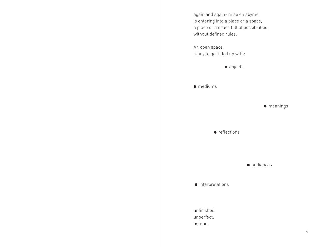again and again- mise en abyme, is entering into a place or a space, a place or a space full of possibilities, without defined rules.

An open space, ready to get filled up with:

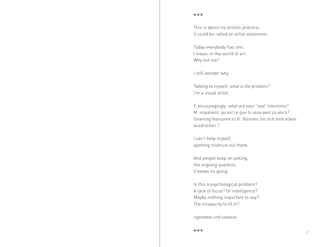This is about my artistic practice, it could be called an artist statement.

Today everybody has one. I mean, in the world of art. Why not me?

I still wonder why.

Talking to myself: *what is the problem?* I'm a visual artist.

Y. encouragingly: *what are your "real" intentions?* M. impatient: *qu'est ce que tu veux avec ça alors?*  listening fearsome to K: *Könnten Sie sich bitte klarer ausdrücken ?* 

I can't help myself, spotting mistrust out there.

And people keep on asking, the ongoing question, it keeps on going.

Is this a psychological problem? A lack of focus? Or intelligence? Maybe nothing important to say? The incapacity to fit in?

*irgendwie und sowieso*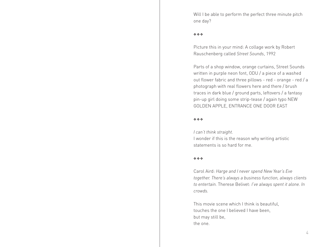Will I be able to perform the perfect three minute pitch one day?

### $\phi$   $\phi$   $\phi$

Picture this in your mind: A collage work by Robert Rauschenberg called *Street Sounds*, 1992

Parts of a shop window, orange curtains, Street Sounds written in purple neon font, ODU / a piece of a washed out flower fabric and three pillows - red - orange - red / a photograph with real flowers here and there / brush traces in dark blue / ground parts, leftovers / a fantasy pin-up girl doing some strip-tease / again typo NEW GOLDEN APPLE, ENTRANCE ONE DOOR EAST

### $\phi$   $\phi$   $\phi$

*I can't think straight.*

I wonder if this is the reason why writing artistic statements is so hard for me.

### $\phi$   $\phi$   $\phi$

Carol Aird: *Harge and I never spend New Year's Eve together. There's always a business function, always clients to entertain.* Therese Belivet: *I've always spent it alone. In crowds.*

This movie scene which I think is beautiful, touches the one I believed I have been, but may still be, the one.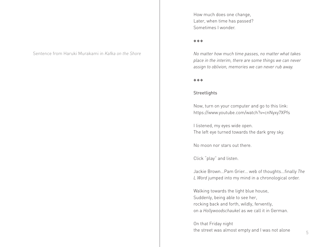Sentence from Haruki Murakami in *Kafka on the Shore*

How much does one change, Later, when time has passed? Sometimes I wonder.

### vvv

*No matter how much time passes, no matter what takes place in the interim, there are some things we can never assign to oblivion, memories we can never rub away.*

### vvv

### **Streetlights**

Now, turn on your computer and go to this link: https://www.youtube.com/watch?v=cnNyxy7XPfs

I listened, my eyes wide open. The left eye turned towards the dark grey sky.

No moon nor stars out there.

Click "play" and listen.

Jackie Brown...Pam Grier... web of thoughts...finally *The L Word* jumped into my mind in a chronological order.

Walking towards the light blue house, Suddenly, being able to see her, rocking back and forth, wildly, fervently, on a *Hollywoodschaukel* as we call it in German.

On that Friday night the street was almost empty and I was not alone  $\frac{5}{5}$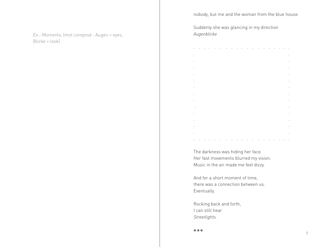nobody, but me and the woman from the blue house.

En.: Moments, (mot composé : Augen = eyes, Blicke = look)

Suddenly she was glancing in my direction *Augenblicke*

|         |  |                                          |  | $\blacksquare$ |  |                                                                                                                  | $\cdot$ |         |            |   | $\sim$  |
|---------|--|------------------------------------------|--|----------------|--|------------------------------------------------------------------------------------------------------------------|---------|---------|------------|---|---------|
|         |  |                                          |  |                |  |                                                                                                                  |         |         |            |   |         |
|         |  |                                          |  |                |  |                                                                                                                  |         |         |            |   |         |
|         |  |                                          |  |                |  |                                                                                                                  |         |         |            |   |         |
|         |  |                                          |  |                |  |                                                                                                                  |         |         |            |   | ٠       |
|         |  |                                          |  |                |  |                                                                                                                  |         |         |            |   |         |
|         |  |                                          |  |                |  |                                                                                                                  |         |         |            |   |         |
|         |  |                                          |  |                |  |                                                                                                                  |         |         |            |   |         |
|         |  |                                          |  |                |  |                                                                                                                  |         |         |            |   |         |
| $\cdot$ |  |                                          |  |                |  |                                                                                                                  |         |         |            |   |         |
|         |  |                                          |  |                |  |                                                                                                                  |         |         |            |   |         |
|         |  |                                          |  |                |  |                                                                                                                  |         |         |            |   |         |
|         |  |                                          |  |                |  |                                                                                                                  |         |         |            |   |         |
|         |  |                                          |  |                |  |                                                                                                                  |         |         |            |   |         |
| . .     |  | the contract of the contract of the con- |  |                |  | and the company of the company of the company of the company of the company of the company of the company of the |         | $\cdot$ | $\epsilon$ | ٠ | $\cdot$ |

The darkness was hiding her face. Her fast movements blurred my vision. Music in the air made me feel dizzy.

And for a short moment of time, there was a connection between us. Eventually.

Rocking back and forth, I can still hear *Streetlights.*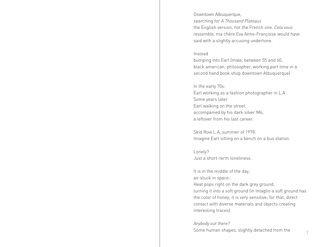Downtown Albuquerque, searching for *A Thousand Plateaus* the English version, not the French one. *Cela vous ressemble*, ma chère Eva Anne-Françoise would have said with a slightly accusing undertone.

### Instead

bumping into Earl (male, between 55 and 60, black american, philosopher, working part time in a second hand book shop downtown Albuquerque)

### In the early 70s:

Earl working as a fashion photographer in L.A Some years later Earl walking on the street, accompanied by his dark silver M6, a leftover from his last career.

Skid Row L.A, summer of 1978. Imagine Earl sitting on a bench on a bus station.

Lonely? Just a short-term loneliness.

It is in the middle of the day, air stuck in space.

Heat pops right on the dark grey ground, turning it into a soft ground (in Intaglio a soft ground has the color of honey, it is very sensitive; for that, direct contact with diverse materials and objects creating interesting traces).

### *Anybody out there?*

Some human shapes, slightly detached from the  $\frac{7}{7}$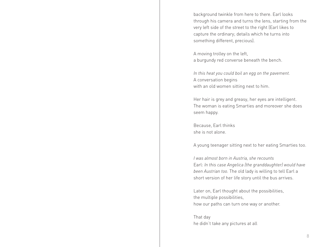background twinkle from here to there. Earl looks through his camera and turns the lens, starting from the very left side of the street to the right (Earl likes to capture the ordinary; details which he turns into something different, precious).

A moving trolley on the left, a burgundy red converse beneath the bench.

*In this heat you could boil an egg on the pavement.*  A conversation begins with an old women sitting next to him.

Her hair is grey and greasy, her eyes are intelligent. The woman is eating Smarties and moreover she does seem happy.

Because, Earl thinks she is not alone.

A young teenager sitting next to her eating Smarties too.

*I was almost born in Austria, she recounts* Earl: *In this case Angelica (the granddaughter) would have been Austrian too.* The old lady is willing to tell Earl a short version of her life story until the bus arrives.

Later on, Earl thought about the possibilities, the multiple possibilities, how our paths can turn one way or another.

That day he didn't take any pictures at all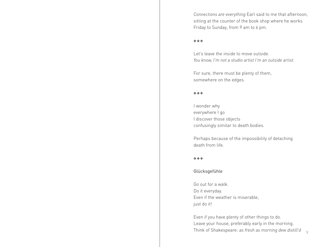*Connections are everything* Earl said to me that afternoon, sitting at the counter of the book shop where he works Friday to Sunday, from 9 am to 6 pm.

### vvv

Let's leave the inside to move outside. *You know, I'm not a studio artist I'm an outside artist.* 

For sure, there must be plenty of them, somewhere on the edges.

### $\phi$   $\phi$   $\phi$

I wonder why everywhere I go I discover those objects confusingly similar to death bodies.

Perhaps because of the impossibility of detaching death from life.

### vvv

### Glücksgefühle

Go out for a walk. Do it everyday. Even if the weather is miserable, just do it!

Even if you have plenty of other things to do. Leave your house, preferably early in the morning. Think of Shakespeare: *as fresh as morning dew distill'd* 9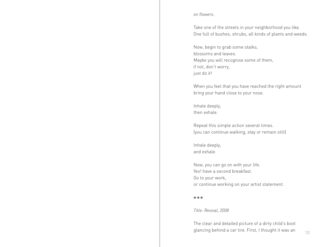### *on flowers.*

Take one of the streets in your neighborhood you like. One full of bushes, shrubs, all kinds of plants and weeds.

Now, begin to grab some stalks, blossoms and leaves. Maybe you will recognise some of them, if not, don't worry, just do it!

When you feel that you have reached the right amount bring your hand close to your nose.

Inhale deeply, then exhale.

Repeat this simple action several times. (you can continue walking, stay or remain still)

Inhale deeply, and exhale.

Now, you can go on with your life. Yes! have a second breakfast. Go to your work, or continue working on your artist statement.

### vvv

*Title: Revival, 2008*

The clear and detailed picture of a dirty child's boot glancing behind a car tire. First, I thought it was an  $10^{-10}$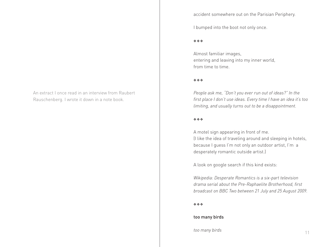An extract I once read in an interview from Raubert Rauschenberg. I wrote it down in a note book.

### accident somewhere out on the Parisian Periphery.

I bumped into the boot not only once.

### $\phi$   $\phi$   $\phi$

Almost familiar images, entering and leaving into my inner world, from time to time.

### $\phi$   $\phi$   $\phi$

*People ask me, "Don't you ever run out of ideas?" In the first place I don't use ideas. Every time I have an idea it's too limiting, and usually turns out to be a disappointment.*

### $\phi$   $\phi$   $\phi$

A motel sign appearing in front of me. (I like the idea of traveling around and sleeping in hotels, because I guess I'm not only an outdoor artist, I'm a desperately romantic outside artist.)

A look on google search if this kind exists:

*Wikipedia: Desperate Romantics is a six-part television drama serial about the Pre-Raphaelite Brotherhood, first broadcast on BBC Two between 21 July and 25 August 2009.* 

### vvv

### too many birds

*too many birds* 11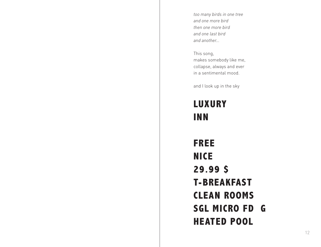*too many birds in one tree and one more bird then one more bird and one last bird and another...*

This song, makes somebody like me, collapse, always and ever in a sentimental mood.

and I look up in the sky

## **LUXURY INN**

**FREE NICE 29.99 \$ T-BREAKFAST CLEAN ROOMS SGL MICRO FD G HEATED POOL**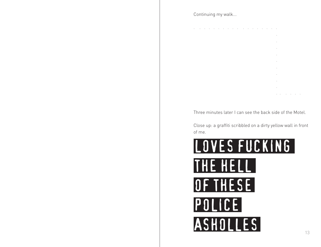### Continuing my walk...

. . . . . . . . . . . . . . . . . . **.** The contract of the contract of the contract of the contract of the contract of the contract of the contract of **.** The contract of the contract of the contract of the contract of the contract of the contract of the contract of **.** The contract of the contract of the contract of the contract of the contract of the contract of the contract of **.** The contract of the contract of the contract of the contract of the contract of the contract of the contract of **.** The contract of the contract of the contract of the contract of the contract of the contract of the contract of **.** The contract of the contract of the contract of the contract of the contract of the contract of the contract of **.** The contract of the contract of the contract of the contract of the contract of the contract of the contract of **.** The contract of the contract of the contract of the contract of the contract of the contract of the contract of **.** The contract of the contract of the contract of the contract of the contract of the contract of the contract of . . . . . .

Three minutes later I can see the back side of the Motel.

Close up: a graffiti scribbled on a dirty yellow wall in front of me.

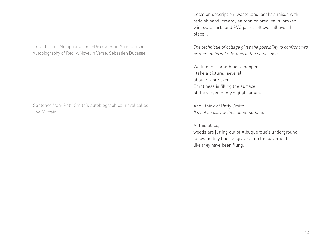Extract from "Metaphor as Self-Discovery" in Anne Carson's Autobiography of Red: A Novel in Verse, Sébastien Ducasse

Sentence from Patti Smith's autobiographical novel called The M-train.

Location description: waste land, asphalt mixed with reddish sand, creamy salmon colored walls, broken windows, parts and PVC panel left over all over the place...

*The technique of collage gives the possibility to confront two or more different alterities in the same space.*

Waiting for something to happen, I take a picture...several, about six or seven. Emptiness is filling the surface of the screen of my digital camera.

And I think of Patty Smith: *It's not so easy writing about nothing.* 

At this place,

weeds are jutting out of Albuquerque's underground, following tiny lines engraved into the pavement, like they have been flung.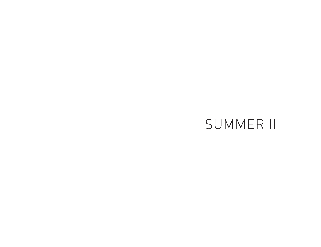# SUMMER II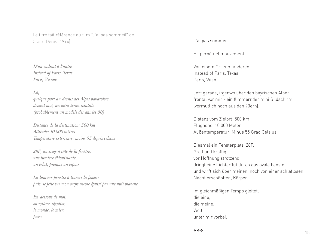Le titre fait référence au film "J'ai pas sommeil" de Claire Denis (1994). J'ai pas sommeil

*D'un endroit à l'autre Instead of Paris, Texas Paris, Vienne*

*Là,*

*quelque part au-dessus des Alpes bavaroises, devant moi, un mini écran scintille (probablement un modèle des années 90)*

*Distance de la destination: 500 km Altitude: 10.000 mètres Température extérieure: moins 55 degrés celsius*

*28F, un siège à côté de la fenêtre, une lumière éblouissante, un éclat, presque un espoir*

*La lumière pénètre à travers la fenêtre puis, se jette sur mon corps encore épuisé par une nuit blanche*

*En-dessous de moi, en rythme régulier, le monde, le mien passe*

En perpétuel mouvement

Von einem Ort zum anderen Instead of Paris, Texas, Paris, Wien.

Jezt gerade, irgenwo über den bayrischen Alpen frontal vor mir - ein flimmernder mini Bildschirm (vermutlich noch aus den 90ern).

Distanz vom Zielort: 500 km Flughöhe: 10 000 Meter Außentemperatur: Minus 55 Grad Celsius

Diesmal ein Fensterplatz, 28F. Grell und kräftig, vor Hoffnung strotzend, dringt eine Lichterflut durch das ovale Fenster und wirft sich über meinen, noch von einer schlaflosen Nacht erschöpften, Körper.

Im gleichmäßigen Tempo gleitet, die eine, die meine, Welt unter mir vorbei.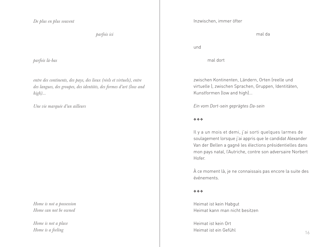*De plus en plus souvent*

 *parfois ici*

*parfois là-bas*

*entre des continents, des pays, des lieux (réels et virtuels), entre des langues, des groupes, des identités, des formes d'art (low and high)...*

*Une vie marquée d'un ailleurs*

*Home is not a possession Home can not be owned*

*Home is not a place Home is a feeling*

Inzwischen, immer öfter

mal da

und

mal dort

zwischen Kontinenten, Ländern, Orten (reelle und virtuelle ), zwischen Sprachen, Gruppen, Identitäten, Kunstformen (low and high)...

*Ein vom Dort-sein geprägtes Da-sein*

### vvv

Il y a un mois et demi, j'ai sorti quelques larmes de soulagement lorsque j'ai appris que le candidat Alexander Van der Bellen a gagné les élections présidentielles dans mon pays natal, l'Autriche, contre son adversaire Norbert Hofer.

À ce moment là, je ne connaissais pas encore la suite des événements.

### $\phi$   $\phi$   $\phi$

Heimat ist kein Habgut Heimat kann man nicht besitzen

Heimat ist kein Ort Heimat ist ein Gefühl 16 auch 16 auch 16 auch 16 auch 16 auch 16 auch 16 auch 16 auch 16 auch 16 auch 16 auch 16 auch 16 auch 16 auch 16 auch 16 auch 16 auch 16 auch 16 auch 17 auch 17 auch 17 auch 17 auch 17 auch 17 auch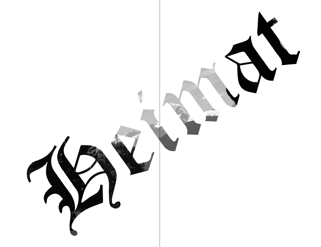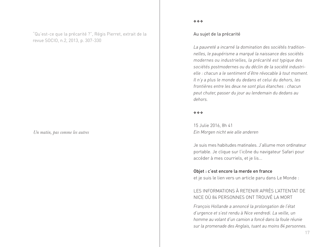"Qu'est-ce que la précarité ?", Régis Pierret, extrait de la revue SOCIO, n.2, 2013, p. 307-330

*Un matin, pas comme les autres*

### vvv

### Au sujet de la précarité

*La pauvreté a incarné la domination des sociétés traditionnelles, le paupérisme a marqué la naissance des sociétés modernes ou industrielles, la précarité est typique des sociétés postmodernes ou du déclin de la société industrielle : chacun a le sentiment d'être révocable à tout moment. Il n'y a plus le monde du dedans et celui du dehors, les frontières entre les deux ne sont plus étanches : chacun peut chuter, passer du jour au lendemain du dedans au dehors.*

### vvv

15 Julie 2016, 8h 41 *Ein Morgen nicht wie alle anderen* 

Je suis mes habitudes matinales. J'allume mon ordinateur portable. Je clique sur l'icône du navigateur Safari pour accéder à mes courriels, et je lis...

### Objet : c'est encore la merde en france

et je suis le lien vers un article paru dans Le Monde :

### LES INFORMATIONS À RETENIR APRÈS L'ATTENTAT DE NICE OÙ 84 PERSONNES ONT TROUVÉ LA MORT

*François Hollande a annoncé la prolongation de l'état d'urgence et s'est rendu à Nice vendredi. La veille, un homme au volant d'un camion a foncé dans la foule réunie sur la promenade des Anglais, tuant au moins 84 personnes.*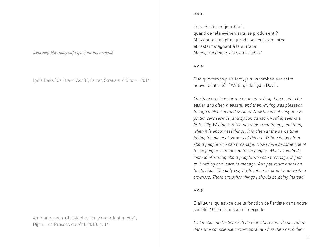*beaucoup plus longtemps que j'aurais imaginé*

Lydia Davis "Can't and Won't", Farrar, Straus and Giroux , 2014

Ammann, Jean-Christophe, "En y regardant mieux", Dijon, Les Presses du réel, 2010, p. 14

 $\ddot{\phi}$   $\ddot{\phi}$   $\ddot{\phi}$ 

Faire de l'art aujourd'hui, quand de tels événements se produisent ? Mes doutes les plus grands sortent avec force et restent stagnant à la surface *länger, viel länger, als es mir lieb ist*

### $\ddot{\phi}$   $\ddot{\phi}$   $\ddot{\phi}$

Quelque temps plus tard, je suis tombée sur cette nouvelle intitulée "Writing" de Lydia Davis.

*Life is too serious for me to go on writing. Life used to be easier, and often pleasant, and then writing was pleasant, though it also seemed serious. Now life is not easy, it has gotten very serious, and by comparison, writing seems a little silly. Writing is often not about real things, and then, when it is about real things, it is often at the same time taking the place of some real things. Writing is too often about people who can't manage. Now I have become one of those people. I am one of those people. What I should do, instead of writing about people who can't manage, is just quit writing and learn to manage. And pay more attention to life itself. The only way I will get smarter is by not writing anymore. There are other things I should be doing instead.*

### $\ddot{\phi}$   $\ddot{\phi}$   $\ddot{\phi}$

D'ailleurs, qu'est-ce que la fonction de l'artiste dans notre société ? Cette réponse m'interpelle.

*La fonction de l'artiste ? Celle d'un chercheur de soi-même dans une conscience contemporaine - forschen nach dem*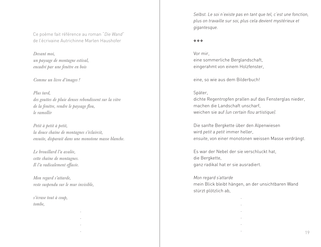Ce poème fait référence au roman "*Die Wand*" de l'écrivaine Autrichinne Marlen Haushofer

*Devant moi, un paysage de montagne estival, encadré par une fenêtre en bois*

*Comme un livre d'images !*

*Plus tard, des gouttes de pluie denses rebondissent sur la vitre de la fenêtre, rendre le paysage flou, le ramollir*

*Petit à petit à petit, la douce chaîne de montagnes s'éclaircit, ensuite, disparait dans une monotone masse blanche.*

*Le brouillard l'a avalée, cette chaîne de montagnes. Il l'a radicalement effacée.* 

*Mon regard s'attarde, reste suspendu sur le mur invisible,*

*s'écrase tout à coup, tombe,*

 . . . . *Selbst. Le soi n'existe pas en tant que tel, c'est une fonction, plus on travaille sur soi, plus cela devient mystérieux et gigantesque.* 

### $\ddot{\phi}$   $\ddot{\phi}$   $\ddot{\phi}$

Vor mir, eine sommerliche Berglandschaft, eingerahmt von einem Holzfenster,

eine, so wie aus dem Bilderbuch!

### Später,

dichte Regentropfen prallen auf das Fensterglas nieder, machen die Landschaft unscharf, weichen sie auf *(un certain flou artistique).*

Die sanfte Bergkette über den Alpenwiesen wird *petit a petit* immer heller, *ensuite*, von einer monotonen weissen Masse verdrängt.

Es war der Nebel der sie verschluckt hat, die Bergkette, ganz radikal hat er sie ausradiert.

### *Mon regard s'attarde*

 . . . . .

mein Blick bleibt hängen, an der unsichtbaren Wand stürzt plötzlich ab,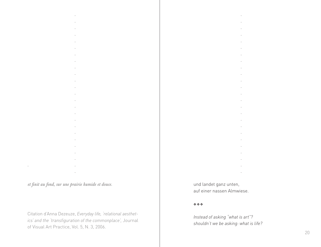*et finit au fond, sur une prairie humide et douce.*

 . . . . . . . . . . . . . . . . . . . . . . . . . .

Citation d'Anna Dezeuze, *Everyday life, 'relational aesthetics' and the 'transfiguration of the commonplace',* Journal of Visual Art Practice, Vol. 5, N. 3, 2006.

und landet ganz unten, auf einer nassen Almwiese.

 . . . . . . . . . . . . . . . . . . . . . . . . .

### vvv

*Instead of asking "what is art"? shouldn't we be asking: what is life?*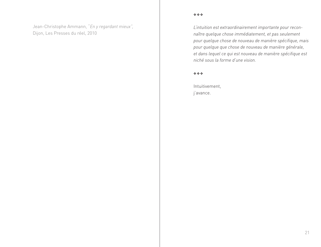Jean-Christophe Ammann, "*En y regardant mieux",*  Dijon, Les Presses du réel, 2010

*L'intuition est extraordinairement importante pour reconnaître quelque chose immédiatement, et pas seulement pour quelque chose de nouveau de manière spécifique, mais pour quelque que chose de nouveau de manière générale, et dans lequel ce qui est nouveau de manière spécifique est niché sous la forme d'une vision.*

vvv

Intuitivement, j'avance.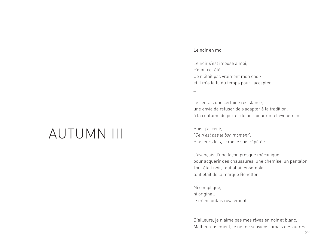# AUTUMN III

### Le noir en moi

\_

Le noir s'est imposé à moi, c'était cet été. Ce n'était pas vraiment mon choix et il m'a fallu du temps pour l'accepter.

Je sentais une certaine résistance, une envie de refuser de s'adapter à la tradition, à la coutume de porter du noir pour un tel événement.

Puis, j'ai cédé, *"Ce n'est pas le bon moment".* Plusieurs fois, je me le suis répétée.

J'avançais d'une façon presque mécanique pour acquérir des chaussures, une chemise, un pantalon. Tout était noir, tout allait ensemble, tout était de la marque Benetton.

Ni compliqué, ni original, je m'en foutais royalement.

\_

D'ailleurs, je n'aime pas mes rêves en noir et blanc. Malheureusement, je ne me souviens jamais des autres.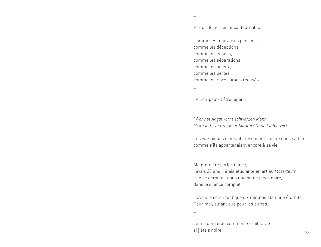Parfois le noir est incontournable.

Comme les mauvaises pensées, comme les déceptions, comme les échecs, comme les séparations, comme les adieux, comme les pertes, comme les rêves jamais réalisés.

\_

\_

Le noir peut-il être léger ?

\_

*"Wer hat Angst vorm schwarzen Mann Niemand! Und wenn er kommt? Dann laufen wir!"*

Les voix aiguës d'enfants résonnent encore dans sa tête comme s'ils appartenaient encore à sa vie.

\_

Ma première performance, j'avais 20 ans, j'étais étudiante en art au *Mozarteum.* Elle se déroulait dans une petite pièce noire, dans le silence complet.

J'avais le sentiment que dix minutes était une éternité. Pour moi, autant que pour les autres.

\_

Je me demande comment serait la vie si j'étais noire. <sup>23</sup>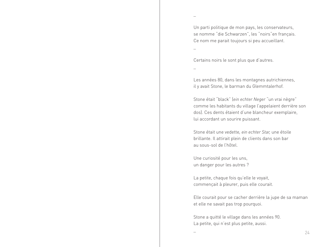Un parti politique de mon pays, les conservateurs, se nomme "die Schwarzen", les "noirs"en français. Ce nom me parait toujours si peu accueillant.

\_

\_

Certains noirs le sont plus que d'autres.

\_

Les années 80, dans les montagnes autrichiennes, il y avait Stone, le barman du Glemmtalerhof.

Stone était "black" (*ein echter Neger* "un vrai nègre" comme les habitants du village l'appelaient derrière son dos). Ces dents étaient d'une blancheur exemplaire, lui accordant un sourire puissant.

Stone était une vedette*, ein echter Star,* une étoile brillante. Il attirait plein de clients dans son bar au sous-sol de l'hôtel.

Une curiosité pour les uns, un danger pour les autres ?

La petite, chaque fois qu'elle le voyait, commençait à pleurer, puis elle courait.

Elle courait pour se cacher derrière la jupe de sa maman et elle ne savait pas trop pourquoi.

Stone a quitté le village dans les années 90. La petite, qui n'est plus petite, aussi.

 $-$  24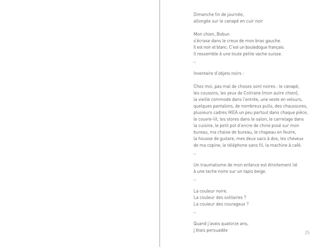Dimanche fin de journée, allongée sur le canapé en cuir noir

Mon chien, Bobun

s'écrase dans le creux de mon bras gauche. Il est noir et blanc. C'est un bouledogue français. Il ressemble à une toute petite vache suisse.

\_

Inventaire d'objets noirs :

Chez moi, pas mal de choses sont noires : le canapé, les coussins, les yeux de Coltrane (mon autre chien), la vieille commode dans l'entrée, une veste en velours, quelques pantalons, de nombreux pulls, des chaussures, plusieurs cadres IKEA un peu partout dans chaque pièce, le couvre-lit, les stores dans le salon, le carrelage dans la cuisine, le petit pot d'encre de chine posé sur mon bureau, ma chaise de bureau, le chapeau en feutre, la housse de guitare, mes deux sacs à dos, les cheveux de ma copine, le téléphone sans fil, la machine à café.

\_

Un traumatisme de mon enfance est étroitement lié à une tache noire sur un tapis beige.

\_

La couleur noire. La couleur des solitaires ? La couleur des courageux ?

\_

Quand j'avais quatorze ans, j'étais persuadée <sup>25</sup>